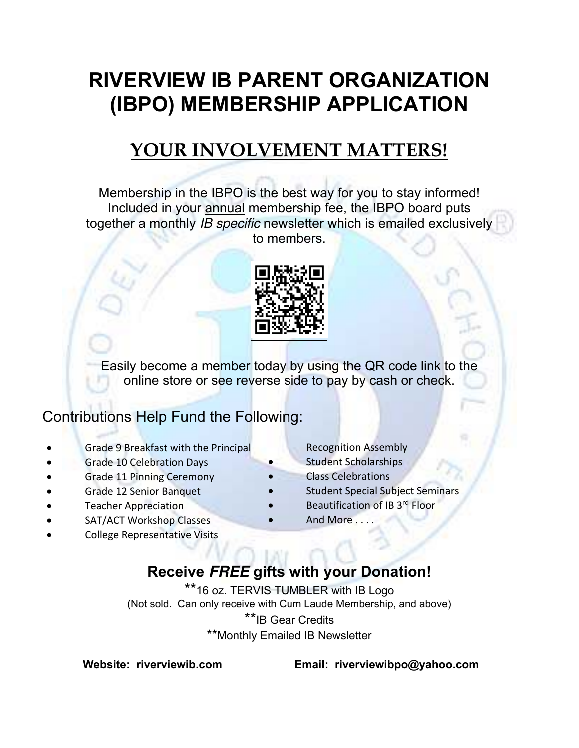# **RIVERVIEW IB PARENT ORGANIZATION (IBPO) MEMBERSHIP APPLICATION**

## **YOUR INVOLVEMENT MATTERS!**

Membership in the IBPO is the best way for you to stay informed! Included in your annual membership fee, the IBPO board puts together a monthly *IB specific* newsletter which is emailed exclusively to members.



Easily become a member today by using the QR code link to the online store or see reverse side to pay by cash or check.

## Contributions Help Fund the Following:

- Grade 9 Breakfast with the Principal
- Grade 10 Celebration Days
- Grade 11 Pinning Ceremony
- Grade 12 Senior Banquet
- Teacher Appreciation
- SAT/ACT Workshop Classes
- College Representative Visits
- Recognition Assembly
- Student Scholarships
- Class Celebrations
- Student Special Subject Seminars
- Beautification of IB 3<sup>rd</sup> Floor
- And More . . . .

## **Receive FREE gifts with your Donation!**

\*\*16 oz. TERVIS TUMBLER with IB Logo (Not sold. Can only receive with Cum Laude Membership, and above) \*\*IB Gear Credits \*\*Monthly Emailed IB Newsletter

 **Website: riverviewib.com Email: riverviewibpo@yahoo.com**